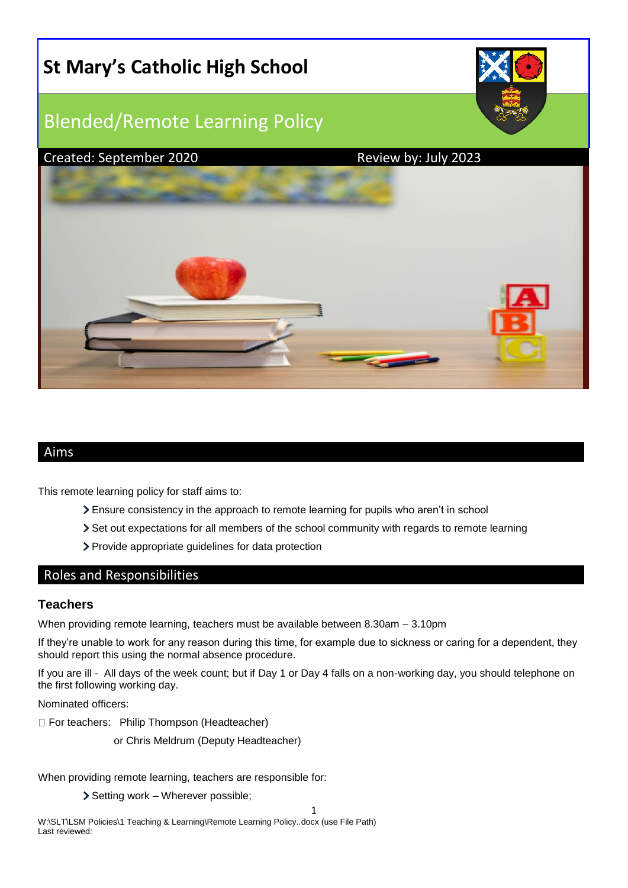

# Aims

This remote learning policy for staff aims to:

- Ensure consistency in the approach to remote learning for pupils who aren't in school
- Set out expectations for all members of the school community with regards to remote learning
- Provide appropriate guidelines for data protection

### Roles and Responsibilities

#### **Teachers**

When providing remote learning, teachers must be available between 8.30am – 3.10pm

If they're unable to work for any reason during this time, for example due to sickness or caring for a dependent, they should report this using the normal absence procedure.

If you are ill - All days of the week count; but if Day 1 or Day 4 falls on a non-working day, you should telephone on the first following working day.

Nominated officers:

For teachers: Philip Thompson (Headteacher)

or Chris Meldrum (Deputy Headteacher)

When providing remote learning, teachers are responsible for:

Setting work – Wherever possible;

1

W:\SLT\LSM Policies\1 Teaching & Learning\Remote Learning Policy..docx (use File Path) Last reviewed: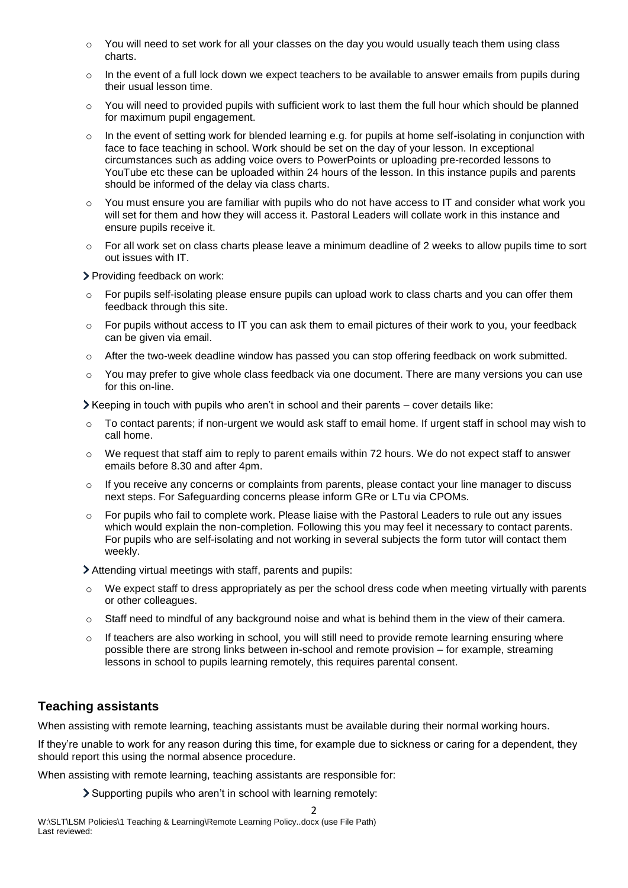- $\circ$  You will need to set work for all your classes on the day you would usually teach them using class charts.
- o In the event of a full lock down we expect teachers to be available to answer emails from pupils during their usual lesson time.
- You will need to provided pupils with sufficient work to last them the full hour which should be planned for maximum pupil engagement.
- $\circ$  In the event of setting work for blended learning e.g. for pupils at home self-isolating in conjunction with face to face teaching in school. Work should be set on the day of your lesson. In exceptional circumstances such as adding voice overs to PowerPoints or uploading pre-recorded lessons to YouTube etc these can be uploaded within 24 hours of the lesson. In this instance pupils and parents should be informed of the delay via class charts.
- $\circ$  You must ensure you are familiar with pupils who do not have access to IT and consider what work you will set for them and how they will access it. Pastoral Leaders will collate work in this instance and ensure pupils receive it.
- $\circ$  For all work set on class charts please leave a minimum deadline of 2 weeks to allow pupils time to sort out issues with IT.

> Providing feedback on work:

- $\circ$  For pupils self-isolating please ensure pupils can upload work to class charts and you can offer them feedback through this site.
- $\circ$  For pupils without access to IT you can ask them to email pictures of their work to you, your feedback can be given via email.
- $\circ$  After the two-week deadline window has passed you can stop offering feedback on work submitted.
- $\circ$  You may prefer to give whole class feedback via one document. There are many versions you can use for this on-line.

Keeping in touch with pupils who aren't in school and their parents – cover details like:

- $\circ$  To contact parents; if non-urgent we would ask staff to email home. If urgent staff in school may wish to call home.
- o We request that staff aim to reply to parent emails within 72 hours. We do not expect staff to answer emails before 8.30 and after 4pm.
- $\circ$  If you receive any concerns or complaints from parents, please contact your line manager to discuss next steps. For Safeguarding concerns please inform GRe or LTu via CPOMs.
- $\circ$  For pupils who fail to complete work. Please liaise with the Pastoral Leaders to rule out any issues which would explain the non-completion. Following this you may feel it necessary to contact parents. For pupils who are self-isolating and not working in several subjects the form tutor will contact them weekly.

Attending virtual meetings with staff, parents and pupils:

- We expect staff to dress appropriately as per the school dress code when meeting virtually with parents or other colleagues.
- $\circ$  Staff need to mindful of any background noise and what is behind them in the view of their camera.
- o If teachers are also working in school, you will still need to provide remote learning ensuring where possible there are strong links between in-school and remote provision – for example, streaming lessons in school to pupils learning remotely, this requires parental consent.

# **Teaching assistants**

When assisting with remote learning, teaching assistants must be available during their normal working hours.

If they're unable to work for any reason during this time, for example due to sickness or caring for a dependent, they should report this using the normal absence procedure.

When assisting with remote learning, teaching assistants are responsible for:

Supporting pupils who aren't in school with learning remotely:

 $\overline{2}$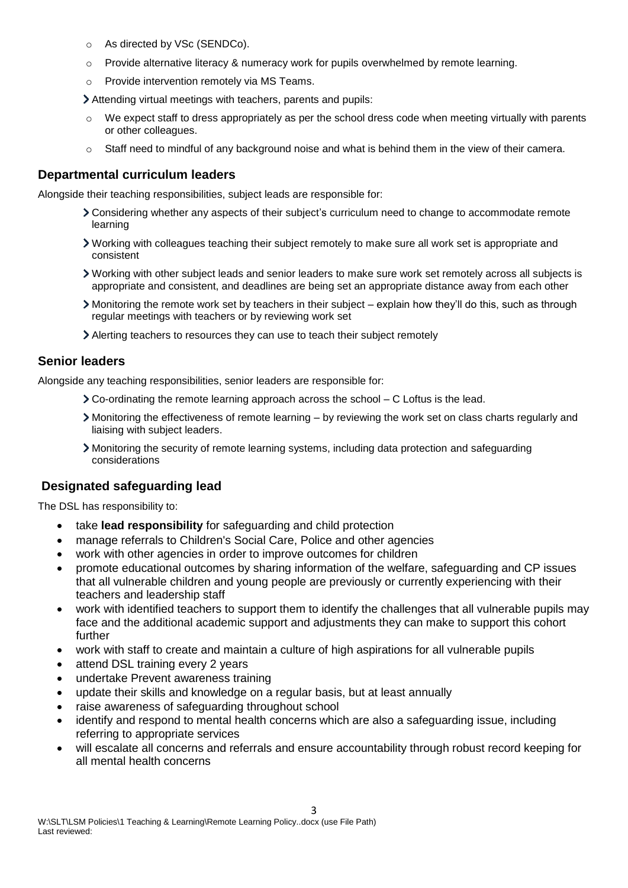- o As directed by VSc (SENDCo).
- o Provide alternative literacy & numeracy work for pupils overwhelmed by remote learning.
- o Provide intervention remotely via MS Teams.
- Attending virtual meetings with teachers, parents and pupils:
- $\circ$  We expect staff to dress appropriately as per the school dress code when meeting virtually with parents or other colleagues.
- $\circ$  Staff need to mindful of any background noise and what is behind them in the view of their camera.

### **Departmental curriculum leaders**

Alongside their teaching responsibilities, subject leads are responsible for:

- Considering whether any aspects of their subject's curriculum need to change to accommodate remote learning
- Working with colleagues teaching their subject remotely to make sure all work set is appropriate and consistent
- Working with other subject leads and senior leaders to make sure work set remotely across all subjects is appropriate and consistent, and deadlines are being set an appropriate distance away from each other
- Monitoring the remote work set by teachers in their subject explain how they'll do this, such as through regular meetings with teachers or by reviewing work set
- Alerting teachers to resources they can use to teach their subject remotely

## **Senior leaders**

Alongside any teaching responsibilities, senior leaders are responsible for:

- Co-ordinating the remote learning approach across the school C Loftus is the lead.
- Monitoring the effectiveness of remote learning by reviewing the work set on class charts regularly and liaising with subject leaders.
- Monitoring the security of remote learning systems, including data protection and safeguarding considerations

# **Designated safeguarding lead**

The DSL has responsibility to:

- take **lead responsibility** for safeguarding and child protection
- manage referrals to Children's Social Care, Police and other agencies
- work with other agencies in order to improve outcomes for children
- promote educational outcomes by sharing information of the welfare, safeguarding and CP issues that all vulnerable children and young people are previously or currently experiencing with their teachers and leadership staff
- work with identified teachers to support them to identify the challenges that all vulnerable pupils may face and the additional academic support and adjustments they can make to support this cohort further
- work with staff to create and maintain a culture of high aspirations for all vulnerable pupils
- attend DSL training every 2 years
- undertake Prevent awareness training
- update their skills and knowledge on a regular basis, but at least annually
- raise awareness of safeguarding throughout school
- identify and respond to mental health concerns which are also a safeguarding issue, including referring to appropriate services
- will escalate all concerns and referrals and ensure accountability through robust record keeping for all mental health concerns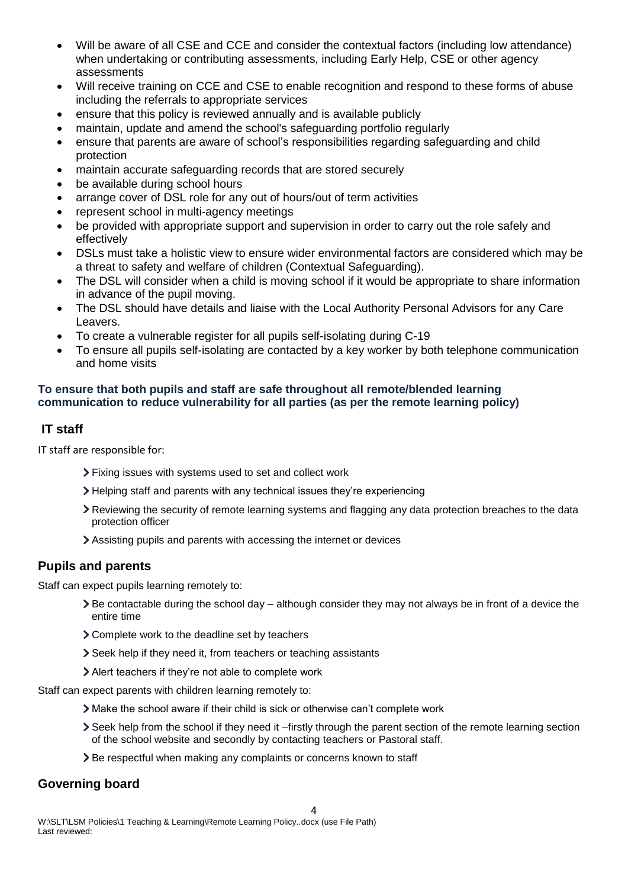- Will be aware of all CSE and CCE and consider the contextual factors (including low attendance) when undertaking or contributing assessments, including Early Help, CSE or other agency assessments
- Will receive training on CCE and CSE to enable recognition and respond to these forms of abuse including the referrals to appropriate services
- ensure that this policy is reviewed annually and is available publicly
- maintain, update and amend the school's safeguarding portfolio regularly
- ensure that parents are aware of school's responsibilities regarding safeguarding and child protection
- maintain accurate safeguarding records that are stored securely
- be available during school hours
- arrange cover of DSL role for any out of hours/out of term activities
- represent school in multi-agency meetings
- be provided with appropriate support and supervision in order to carry out the role safely and effectively
- DSLs must take a holistic view to ensure wider environmental factors are considered which may be a threat to safety and welfare of children (Contextual Safeguarding).
- The DSL will consider when a child is moving school if it would be appropriate to share information in advance of the pupil moving.
- The DSL should have details and liaise with the Local Authority Personal Advisors for any Care Leavers.
- To create a vulnerable register for all pupils self-isolating during C-19
- To ensure all pupils self-isolating are contacted by a key worker by both telephone communication and home visits

### **To ensure that both pupils and staff are safe throughout all remote/blended learning communication to reduce vulnerability for all parties (as per the remote learning policy)**

# **IT staff**

IT staff are responsible for:

- Fixing issues with systems used to set and collect work
- Helping staff and parents with any technical issues they're experiencing
- Reviewing the security of remote learning systems and flagging any data protection breaches to the data protection officer
- Assisting pupils and parents with accessing the internet or devices

# **Pupils and parents**

Staff can expect pupils learning remotely to:

- $\triangleright$  Be contactable during the school day although consider they may not always be in front of a device the entire time
- Complete work to the deadline set by teachers
- Seek help if they need it, from teachers or teaching assistants
- Alert teachers if they're not able to complete work

Staff can expect parents with children learning remotely to:

- Make the school aware if their child is sick or otherwise can't complete work
- Seek help from the school if they need it –firstly through the parent section of the remote learning section of the school website and secondly by contacting teachers or Pastoral staff.
- > Be respectful when making any complaints or concerns known to staff

# **Governing board**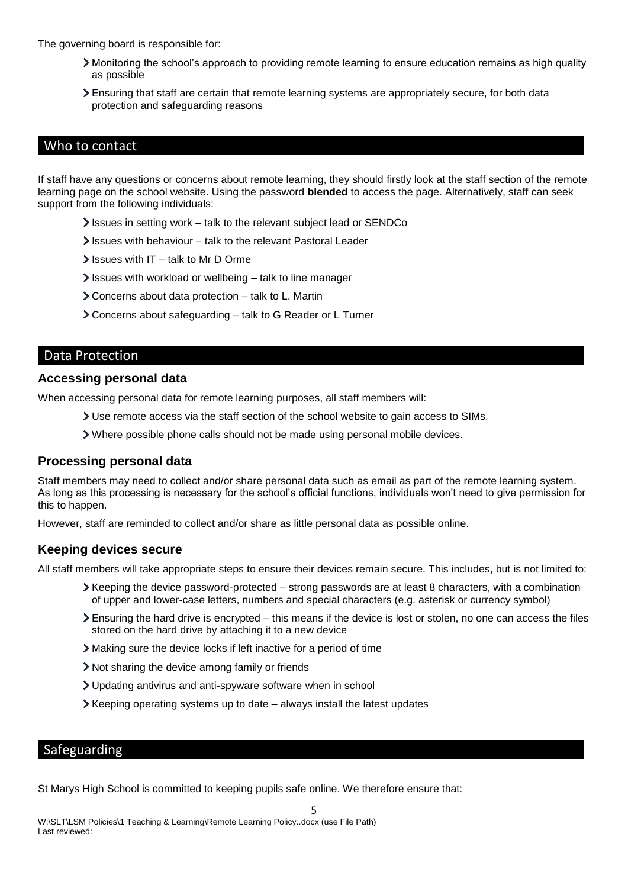The governing board is responsible for:

- Monitoring the school's approach to providing remote learning to ensure education remains as high quality as possible
- Ensuring that staff are certain that remote learning systems are appropriately secure, for both data protection and safeguarding reasons

## Who to contact

If staff have any questions or concerns about remote learning, they should firstly look at the staff section of the remote learning page on the school website. Using the password **blended** to access the page. Alternatively, staff can seek support from the following individuals:

- Issues in setting work talk to the relevant subject lead or SENDCo
- Issues with behaviour talk to the relevant Pastoral Leader
- $\blacktriangleright$  Issues with IT talk to Mr D Orme
- $\ge$  Issues with workload or wellbeing talk to line manager
- Concerns about data protection talk to L. Martin
- Concerns about safeguarding talk to G Reader or L Turner

### Data Protection

#### **Accessing personal data**

When accessing personal data for remote learning purposes, all staff members will:

- Use remote access via the staff section of the school website to gain access to SIMs.
- Where possible phone calls should not be made using personal mobile devices.

### **Processing personal data**

Staff members may need to collect and/or share personal data such as email as part of the remote learning system. As long as this processing is necessary for the school's official functions, individuals won't need to give permission for this to happen.

However, staff are reminded to collect and/or share as little personal data as possible online.

### **Keeping devices secure**

All staff members will take appropriate steps to ensure their devices remain secure. This includes, but is not limited to:

- Keeping the device password-protected strong passwords are at least 8 characters, with a combination of upper and lower-case letters, numbers and special characters (e.g. asterisk or currency symbol)
- Ensuring the hard drive is encrypted this means if the device is lost or stolen, no one can access the files stored on the hard drive by attaching it to a new device
- Making sure the device locks if left inactive for a period of time
- Not sharing the device among family or friends
- Updating antivirus and anti-spyware software when in school
- Keeping operating systems up to date always install the latest updates

### Safeguarding

St Marys High School is committed to keeping pupils safe online. We therefore ensure that: